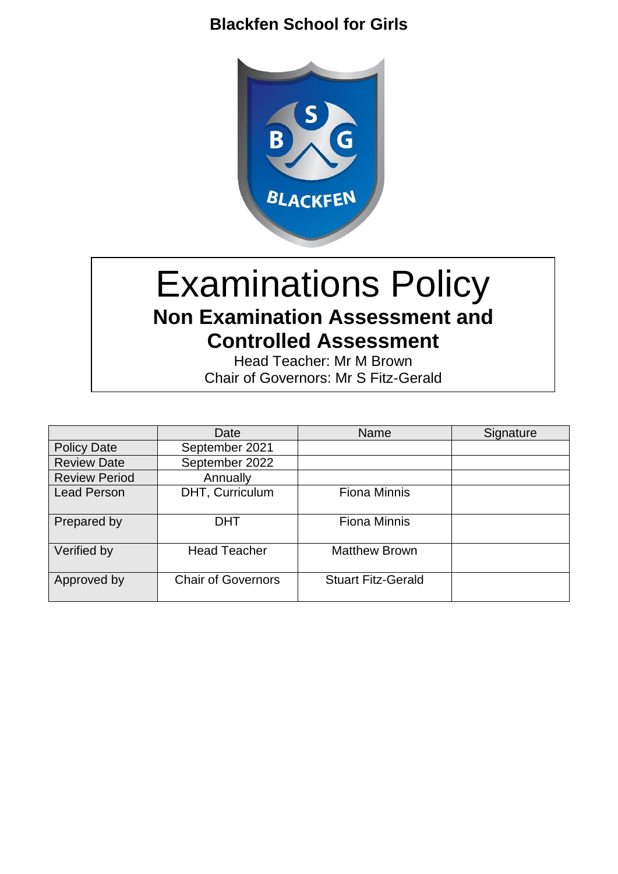# **Blackfen School for Girls**



# Examinations Policy **Non Examination Assessment and Controlled Assessment**

Head Teacher: Mr M Brown Chair of Governors: Mr S Fitz-Gerald

|                      | Date                      | <b>Name</b>               | Signature |
|----------------------|---------------------------|---------------------------|-----------|
| <b>Policy Date</b>   | September 2021            |                           |           |
| <b>Review Date</b>   | September 2022            |                           |           |
| <b>Review Period</b> | Annually                  |                           |           |
| <b>Lead Person</b>   | DHT, Curriculum           | <b>Fiona Minnis</b>       |           |
| Prepared by          | <b>DHT</b>                | <b>Fiona Minnis</b>       |           |
| Verified by          | <b>Head Teacher</b>       | <b>Matthew Brown</b>      |           |
| Approved by          | <b>Chair of Governors</b> | <b>Stuart Fitz-Gerald</b> |           |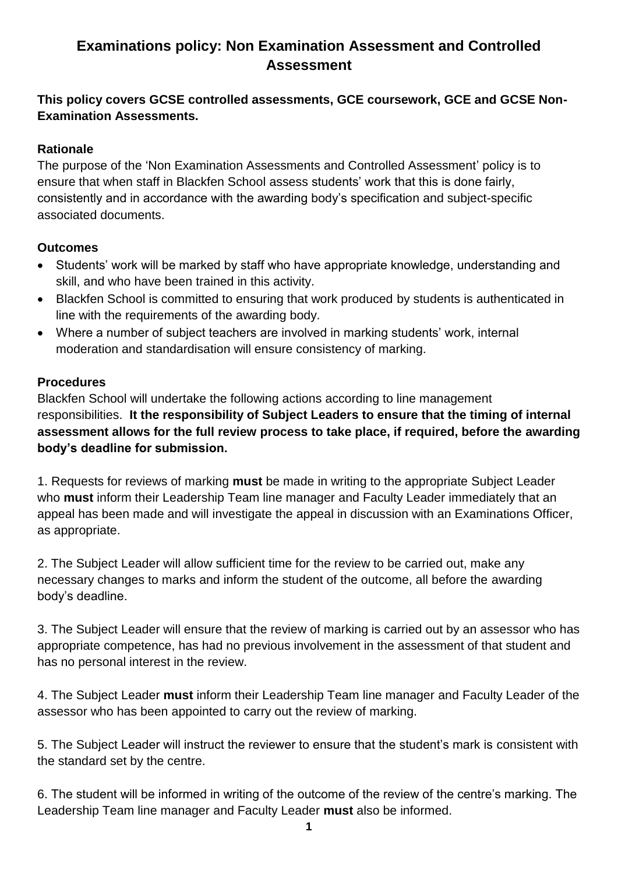# **Examinations policy: Non Examination Assessment and Controlled Assessment**

## **This policy covers GCSE controlled assessments, GCE coursework, GCE and GCSE Non-Examination Assessments.**

## **Rationale**

The purpose of the 'Non Examination Assessments and Controlled Assessment' policy is to ensure that when staff in Blackfen School assess students' work that this is done fairly, consistently and in accordance with the awarding body's specification and subject-specific associated documents.

### **Outcomes**

- Students' work will be marked by staff who have appropriate knowledge, understanding and skill, and who have been trained in this activity.
- Blackfen School is committed to ensuring that work produced by students is authenticated in line with the requirements of the awarding body.
- Where a number of subject teachers are involved in marking students' work, internal moderation and standardisation will ensure consistency of marking.

### **Procedures**

Blackfen School will undertake the following actions according to line management responsibilities. **It the responsibility of Subject Leaders to ensure that the timing of internal assessment allows for the full review process to take place, if required, before the awarding body's deadline for submission.**

1. Requests for reviews of marking **must** be made in writing to the appropriate Subject Leader who **must** inform their Leadership Team line manager and Faculty Leader immediately that an appeal has been made and will investigate the appeal in discussion with an Examinations Officer, as appropriate.

2. The Subject Leader will allow sufficient time for the review to be carried out, make any necessary changes to marks and inform the student of the outcome, all before the awarding body's deadline.

3. The Subject Leader will ensure that the review of marking is carried out by an assessor who has appropriate competence, has had no previous involvement in the assessment of that student and has no personal interest in the review.

4. The Subject Leader **must** inform their Leadership Team line manager and Faculty Leader of the assessor who has been appointed to carry out the review of marking.

5. The Subject Leader will instruct the reviewer to ensure that the student's mark is consistent with the standard set by the centre.

6. The student will be informed in writing of the outcome of the review of the centre's marking. The Leadership Team line manager and Faculty Leader **must** also be informed.